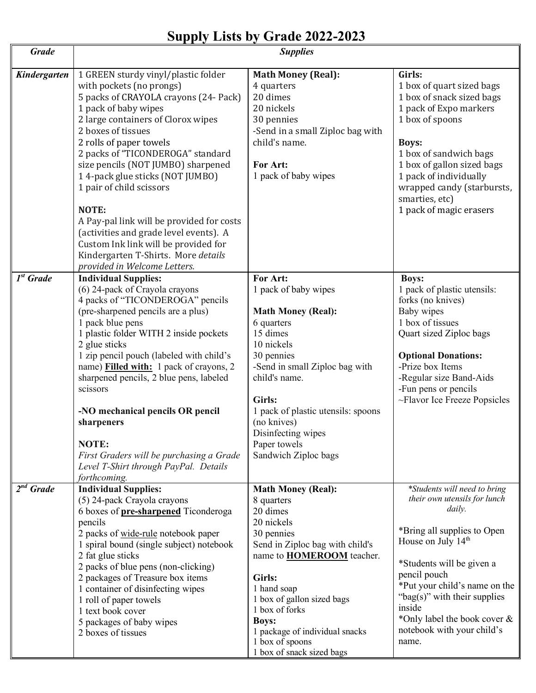## **Supply Lists by Grade 2022-2023**

| <b>Grade</b>              | <b>Supplies</b>                                                                                                                                                                                                                                                                                                                                                                                                                                                                                                                                                                  |                                                                                                                                                                                                                                                                                                                                   |                                                                                                                                                                                                                                                                                                                              |
|---------------------------|----------------------------------------------------------------------------------------------------------------------------------------------------------------------------------------------------------------------------------------------------------------------------------------------------------------------------------------------------------------------------------------------------------------------------------------------------------------------------------------------------------------------------------------------------------------------------------|-----------------------------------------------------------------------------------------------------------------------------------------------------------------------------------------------------------------------------------------------------------------------------------------------------------------------------------|------------------------------------------------------------------------------------------------------------------------------------------------------------------------------------------------------------------------------------------------------------------------------------------------------------------------------|
| Kindergarten              | 1 GREEN sturdy vinyl/plastic folder<br>with pockets (no prongs)<br>5 packs of CRAYOLA crayons (24- Pack)<br>1 pack of baby wipes<br>2 large containers of Clorox wipes<br>2 boxes of tissues<br>2 rolls of paper towels<br>2 packs of "TICONDEROGA" standard<br>size pencils (NOT JUMBO) sharpened<br>14-pack glue sticks (NOT JUMBO)<br>1 pair of child scissors<br>NOTE:<br>A Pay-pal link will be provided for costs<br>(activities and grade level events). A<br>Custom Ink link will be provided for<br>Kindergarten T-Shirts. More details<br>provided in Welcome Letters. | <b>Math Money (Real):</b><br>4 quarters<br>20 dimes<br>20 nickels<br>30 pennies<br>-Send in a small Ziploc bag with<br>child's name.<br>For Art:<br>1 pack of baby wipes                                                                                                                                                          | Girls:<br>1 box of quart sized bags<br>1 box of snack sized bags<br>1 pack of Expo markers<br>1 box of spoons<br><b>Boys:</b><br>1 box of sandwich bags<br>1 box of gallon sized bags<br>1 pack of individually<br>wrapped candy (starbursts,<br>smarties, etc)<br>1 pack of magic erasers                                   |
| $1st$ Grade               | <b>Individual Supplies:</b><br>(6) 24-pack of Crayola crayons<br>4 packs of "TICONDEROGA" pencils<br>(pre-sharpened pencils are a plus)<br>1 pack blue pens<br>1 plastic folder WITH 2 inside pockets<br>2 glue sticks<br>1 zip pencil pouch (labeled with child's<br>name) Filled with: 1 pack of crayons, 2<br>sharpened pencils, 2 blue pens, labeled<br>scissors<br>-NO mechanical pencils OR pencil<br>sharpeners<br>NOTE:<br>First Graders will be purchasing a Grade<br>Level T-Shirt through PayPal. Details<br>forthcoming.                                             | For Art:<br>1 pack of baby wipes<br><b>Math Money (Real):</b><br>6 quarters<br>15 dimes<br>10 nickels<br>30 pennies<br>-Send in small Ziploc bag with<br>child's name.<br>Girls:<br>1 pack of plastic utensils: spoons<br>(no knives)<br>Disinfecting wipes<br>Paper towels<br>Sandwich Ziploc bags                               | <b>Boys:</b><br>1 pack of plastic utensils:<br>forks (no knives)<br>Baby wipes<br>1 box of tissues<br>Quart sized Ziploc bags<br><b>Optional Donations:</b><br>-Prize box Items<br>-Regular size Band-Aids<br>-Fun pens or pencils<br>~Flavor Ice Freeze Popsicles                                                           |
| $\overline{2}^{nd}$ Grade | <b>Individual Supplies:</b><br>(5) 24-pack Crayola crayons<br>6 boxes of <b>pre-sharpened</b> Ticonderoga<br>pencils<br>2 packs of wide-rule notebook paper<br>1 spiral bound (single subject) notebook<br>2 fat glue sticks<br>2 packs of blue pens (non-clicking)<br>2 packages of Treasure box items<br>1 container of disinfecting wipes<br>1 roll of paper towels<br>1 text book cover<br>5 packages of baby wipes<br>2 boxes of tissues                                                                                                                                    | <b>Math Money (Real):</b><br>8 quarters<br>20 dimes<br>20 nickels<br>30 pennies<br>Send in Ziploc bag with child's<br>name to <b>HOMEROOM</b> teacher.<br>Girls:<br>1 hand soap<br>1 box of gallon sized bags<br>1 box of forks<br><b>Boys:</b><br>1 package of individual snacks<br>1 box of spoons<br>1 box of snack sized bags | *Students will need to bring<br>their own utensils for lunch<br>daily.<br>*Bring all supplies to Open<br>House on July $14th$<br>*Students will be given a<br>pencil pouch<br>*Put your child's name on the<br>"bag(s)" with their supplies<br>inside<br>*Only label the book cover &<br>notebook with your child's<br>name. |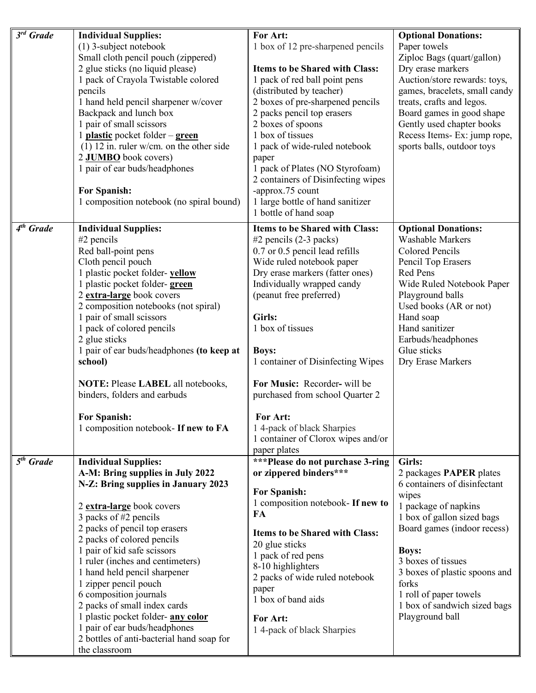| $\overline{\mathcal{E}}^{rd}$ Grade | <b>Individual Supplies:</b>                         | For Art:                              | <b>Optional Donations:</b>    |
|-------------------------------------|-----------------------------------------------------|---------------------------------------|-------------------------------|
|                                     | (1) 3-subject notebook                              | 1 box of 12 pre-sharpened pencils     | Paper towels                  |
|                                     | Small cloth pencil pouch (zippered)                 |                                       | Ziploc Bags (quart/gallon)    |
|                                     | 2 glue sticks (no liquid please)                    | <b>Items to be Shared with Class:</b> | Dry erase markers             |
|                                     |                                                     |                                       |                               |
|                                     | 1 pack of Crayola Twistable colored                 | 1 pack of red ball point pens         | Auction/store rewards: toys,  |
|                                     | pencils                                             | (distributed by teacher)              | games, bracelets, small candy |
|                                     | 1 hand held pencil sharpener w/cover                | 2 boxes of pre-sharpened pencils      | treats, crafts and legos.     |
|                                     | Backpack and lunch box                              | 2 packs pencil top erasers            | Board games in good shape     |
|                                     | 1 pair of small scissors                            | 2 boxes of spoons                     | Gently used chapter books     |
|                                     | 1 plastic pocket folder $-\underline{\text{green}}$ | 1 box of tissues                      | Recess Items- Ex: jump rope,  |
|                                     | $(1)$ 12 in. ruler w/cm. on the other side          | 1 pack of wide-ruled notebook         | sports balls, outdoor toys    |
|                                     | 2 JUMBO book covers)                                | paper                                 |                               |
|                                     | 1 pair of ear buds/headphones                       | 1 pack of Plates (NO Styrofoam)       |                               |
|                                     |                                                     | 2 containers of Disinfecting wipes    |                               |
|                                     | <b>For Spanish:</b>                                 | -approx.75 count                      |                               |
|                                     | 1 composition notebook (no spiral bound)            | 1 large bottle of hand sanitizer      |                               |
|                                     |                                                     | 1 bottle of hand soap                 |                               |
|                                     |                                                     |                                       |                               |
| $4th$ Grade                         | <b>Individual Supplies:</b>                         | <b>Items to be Shared with Class:</b> | <b>Optional Donations:</b>    |
|                                     | $#2$ pencils                                        | #2 pencils (2-3 packs)                | <b>Washable Markers</b>       |
|                                     | Red ball-point pens                                 | 0.7 or 0.5 pencil lead refills        | <b>Colored Pencils</b>        |
|                                     | Cloth pencil pouch                                  | Wide ruled notebook paper             | Pencil Top Erasers            |
|                                     | 1 plastic pocket folder-yellow                      | Dry erase markers (fatter ones)       | Red Pens                      |
|                                     | 1 plastic pocket folder-green                       | Individually wrapped candy            | Wide Ruled Notebook Paper     |
|                                     | 2 extra-large book covers                           | (peanut free preferred)               | Playground balls              |
|                                     | 2 composition notebooks (not spiral)                |                                       | Used books (AR or not)        |
|                                     | 1 pair of small scissors                            | Girls:                                | Hand soap                     |
|                                     | 1 pack of colored pencils                           | 1 box of tissues                      | Hand sanitizer                |
|                                     | 2 glue sticks                                       |                                       | Earbuds/headphones            |
|                                     | 1 pair of ear buds/headphones (to keep at           | <b>Boys:</b>                          | Glue sticks                   |
|                                     | school)                                             | 1 container of Disinfecting Wipes     | Dry Erase Markers             |
|                                     |                                                     |                                       |                               |
|                                     | NOTE: Please LABEL all notebooks,                   | For Music: Recorder- will be          |                               |
|                                     | binders, folders and earbuds                        | purchased from school Quarter 2       |                               |
|                                     |                                                     |                                       |                               |
|                                     | <b>For Spanish:</b>                                 | For Art:                              |                               |
|                                     | 1 composition notebook- If new to FA                | 14-pack of black Sharpies             |                               |
|                                     |                                                     | 1 container of Clorox wipes and/or    |                               |
|                                     |                                                     | paper plates                          |                               |
| $5th$ Grade                         | <b>Individual Supplies:</b>                         | ***Please do not purchase 3-ring      | Girls:                        |
|                                     | A-M: Bring supplies in July 2022                    | or zippered binders***                | 2 packages PAPER plates       |
|                                     | N-Z: Bring supplies in January 2023                 |                                       | 6 containers of disinfectant  |
|                                     |                                                     | <b>For Spanish:</b>                   | wipes                         |
|                                     | 2 extra-large book covers                           | 1 composition notebook- If new to     | 1 package of napkins          |
|                                     | 3 packs of #2 pencils                               | FA                                    | 1 box of gallon sized bags    |
|                                     |                                                     |                                       | Board games (indoor recess)   |
|                                     | 2 packs of pencil top erasers                       | <b>Items to be Shared with Class:</b> |                               |
|                                     | 2 packs of colored pencils                          | 20 glue sticks                        |                               |
|                                     | 1 pair of kid safe scissors                         | 1 pack of red pens                    | <b>Boys:</b>                  |
|                                     | 1 ruler (inches and centimeters)                    | 8-10 highlighters                     | 3 boxes of tissues            |
|                                     | 1 hand held pencil sharpener                        | 2 packs of wide ruled notebook        | 3 boxes of plastic spoons and |
|                                     | 1 zipper pencil pouch                               | paper                                 | forks                         |
|                                     | 6 composition journals                              | 1 box of band aids                    | 1 roll of paper towels        |
|                                     | 2 packs of small index cards                        |                                       | 1 box of sandwich sized bags  |
|                                     | 1 plastic pocket folder-any color                   | For Art:                              | Playground ball               |
|                                     | 1 pair of ear buds/headphones                       | 14-pack of black Sharpies             |                               |
|                                     | 2 bottles of anti-bacterial hand soap for           |                                       |                               |
|                                     | the classroom                                       |                                       |                               |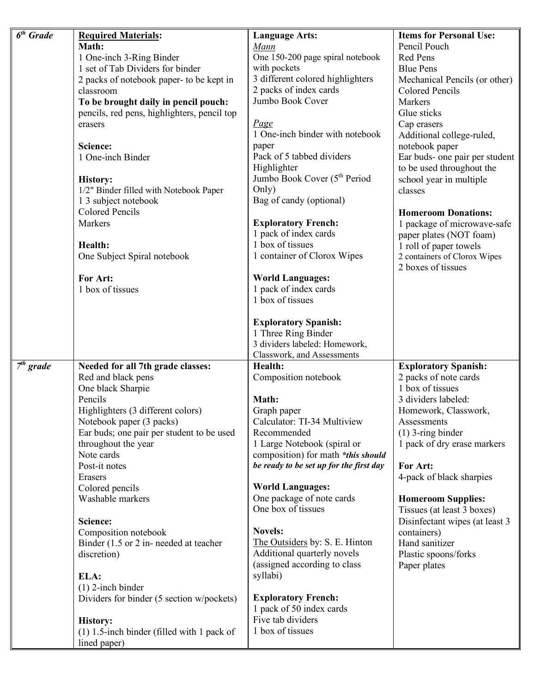| $\overline{6}$ <sup>th</sup> Grade | <b>Required Materials:</b>                   | <b>Language Arts:</b>                               | <b>Items for Personal Use:</b>                     |
|------------------------------------|----------------------------------------------|-----------------------------------------------------|----------------------------------------------------|
|                                    | Math:                                        | Mann                                                | Pencil Pouch                                       |
|                                    | 1 One-inch 3-Ring Binder                     | One 150-200 page spiral notebook                    | <b>Red Pens</b>                                    |
|                                    | 1 set of Tab Dividers for binder             | with pockets                                        | <b>Blue Pens</b>                                   |
|                                    | 2 packs of notebook paper- to be kept in     | 3 different colored highlighters                    | Mechanical Pencils (or other)                      |
|                                    | classroom                                    | 2 packs of index cards                              | <b>Colored Pencils</b>                             |
|                                    | To be brought daily in pencil pouch:         | Jumbo Book Cover                                    | <b>Markers</b>                                     |
|                                    | pencils, red pens, highlighters, pencil top  |                                                     | Glue sticks                                        |
|                                    | erasers                                      | <b>Page</b>                                         | Cap erasers                                        |
|                                    |                                              | 1 One-inch binder with notebook                     | Additional college-ruled,                          |
|                                    | Science:                                     | paper                                               | notebook paper                                     |
|                                    | 1 One-inch Binder                            | Pack of 5 tabbed dividers                           | Ear buds- one pair per student                     |
|                                    |                                              | Highlighter                                         | to be used throughout the                          |
|                                    | <b>History:</b>                              | Jumbo Book Cover (5 <sup>th</sup> Period            | school year in multiple                            |
|                                    | 1/2" Binder filled with Notebook Paper       | Only)                                               | classes                                            |
|                                    | 1 3 subject notebook                         | Bag of candy (optional)                             |                                                    |
|                                    | <b>Colored Pencils</b>                       |                                                     | <b>Homeroom Donations:</b>                         |
|                                    | Markers                                      |                                                     |                                                    |
|                                    |                                              | <b>Exploratory French:</b><br>1 pack of index cards | 1 package of microwave-safe                        |
|                                    | Health:                                      | 1 box of tissues                                    | paper plates (NOT foam)                            |
|                                    |                                              |                                                     | 1 roll of paper towels                             |
|                                    | One Subject Spiral notebook                  | 1 container of Clorox Wipes                         | 2 containers of Clorox Wipes<br>2 boxes of tissues |
|                                    | For Art:                                     | <b>World Languages:</b>                             |                                                    |
|                                    | 1 box of tissues                             | 1 pack of index cards                               |                                                    |
|                                    |                                              | 1 box of tissues                                    |                                                    |
|                                    |                                              |                                                     |                                                    |
|                                    |                                              | <b>Exploratory Spanish:</b>                         |                                                    |
|                                    |                                              | 1 Three Ring Binder                                 |                                                    |
|                                    |                                              | 3 dividers labeled: Homework,                       |                                                    |
|                                    |                                              | Classwork, and Assessments                          |                                                    |
| $7th$ grade                        | Needed for all 7th grade classes:            | Health:                                             | <b>Exploratory Spanish:</b>                        |
|                                    | Red and black pens                           | Composition notebook                                | 2 packs of note cards                              |
|                                    | One black Sharpie                            |                                                     | 1 box of tissues                                   |
|                                    | Pencils                                      | Math:                                               | 3 dividers labeled:                                |
|                                    | Highlighters (3 different colors)            | Graph paper                                         | Homework, Classwork,                               |
|                                    | Notebook paper (3 packs)                     | Calculator: TI-34 Multiview                         | Assessments                                        |
|                                    | Ear buds; one pair per student to be used    | Recommended                                         | $(1)$ 3-ring binder                                |
|                                    | throughout the year                          | 1 Large Notebook (spiral or                         | 1 pack of dry erase markers                        |
|                                    | Note cards                                   | composition) for math *this should                  |                                                    |
|                                    | Post-it notes                                | be ready to be set up for the first day             | For Art:                                           |
|                                    | Erasers                                      |                                                     | 4-pack of black sharpies                           |
|                                    | Colored pencils                              | <b>World Languages:</b>                             |                                                    |
|                                    | Washable markers                             | One package of note cards                           | <b>Homeroom Supplies:</b>                          |
|                                    |                                              | One box of tissues                                  | Tissues (at least 3 boxes)                         |
|                                    | Science:                                     |                                                     | Disinfectant wipes (at least 3                     |
|                                    | Composition notebook                         | <b>Novels:</b>                                      | containers)                                        |
|                                    | Binder (1.5 or 2 in- needed at teacher       | The Outsiders by: S. E. Hinton                      | Hand sanitizer                                     |
|                                    | discretion)                                  | Additional quarterly novels                         | Plastic spoons/forks                               |
|                                    |                                              | (assigned according to class                        | Paper plates                                       |
|                                    | ELA:                                         | syllabi)                                            |                                                    |
|                                    | $(1)$ 2-inch binder                          |                                                     |                                                    |
|                                    | Dividers for binder (5 section w/pockets)    | <b>Exploratory French:</b>                          |                                                    |
|                                    |                                              | 1 pack of 50 index cards                            |                                                    |
|                                    | <b>History:</b>                              | Five tab dividers                                   |                                                    |
|                                    | $(1)$ 1.5-inch binder (filled with 1 pack of | 1 box of tissues                                    |                                                    |
|                                    | lined paper)                                 |                                                     |                                                    |